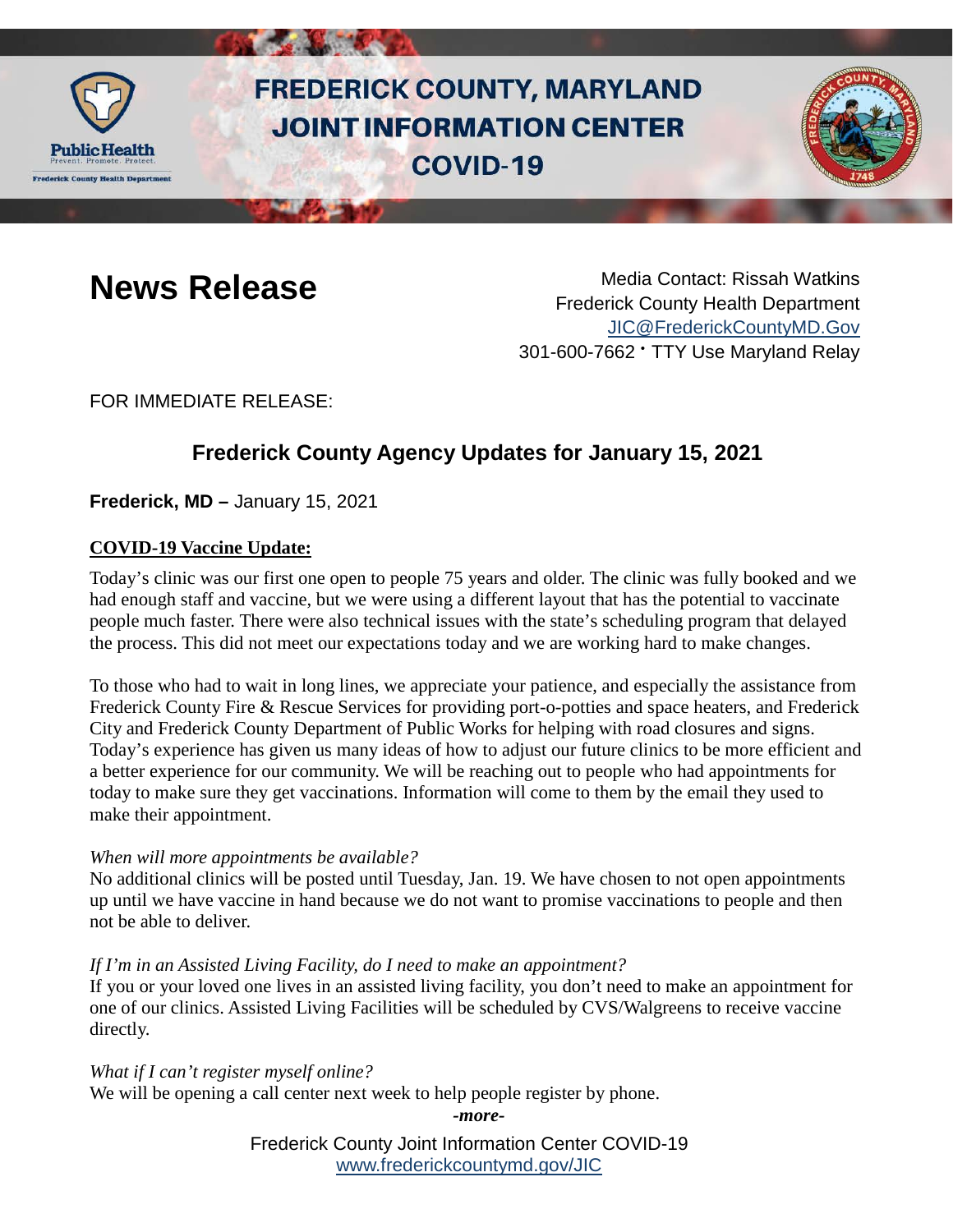

# **FREDERICK COUNTY, MARYLAND JOINT INFORMATION CENTER COVID-19**



**News Release** Media Contact: Rissah Watkins Frederick County Health Department [JIC@FrederickCountyMD.Gov](mailto:JIC@FrederickCountyMD.Gov) 301-600-7662 • TTY Use Maryland Relay

FOR IMMEDIATE RELEASE:

## **Frederick County Agency Updates for January 15, 2021**

**Frederick, MD –** January 15, 2021

### **COVID-19 Vaccine Update:**

Today's clinic was our first one open to people 75 years and older. The clinic was fully booked and we had enough staff and vaccine, but we were using a different layout that has the potential to vaccinate people much faster. There were also technical issues with the state's scheduling program that delayed the process. This did not meet our expectations today and we are working hard to make changes.

To those who had to wait in long lines, we appreciate your patience, and especially the assistance from Frederick County Fire & Rescue Services for providing port-o-potties and space heaters, and Frederick City and Frederick County Department of Public Works for helping with road closures and signs. Today's experience has given us many ideas of how to adjust our future clinics to be more efficient and a better experience for our community. We will be reaching out to people who had appointments for today to make sure they get vaccinations. Information will come to them by the email they used to make their appointment.

### *When will more appointments be available?*

No additional clinics will be posted until Tuesday, Jan. 19. We have chosen to not open appointments up until we have vaccine in hand because we do not want to promise vaccinations to people and then not be able to deliver.

### *If I'm in an Assisted Living Facility, do I need to make an appointment?*

If you or your loved one lives in an assisted living facility, you don't need to make an appointment for one of our clinics. Assisted Living Facilities will be scheduled by CVS/Walgreens to receive vaccine directly.

*What if I can't register myself online?* We will be opening a call center next week to help people register by phone.

*-more-*

Frederick County Joint Information Center COVID-19 [www.frederickcountymd.gov/JIC](https://frederickcountymd.gov/JIC)